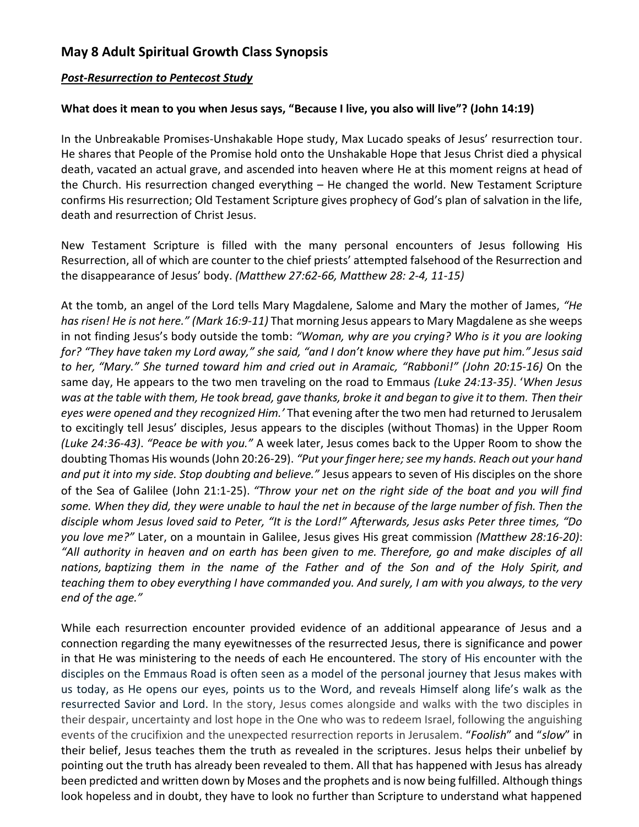## **May 8 Adult Spiritual Growth Class Synopsis**

#### *Post-Resurrection to Pentecost Study*

#### **What does it mean to you when Jesus says, "Because I live, you also will live"? (John 14:19)**

In the Unbreakable Promises-Unshakable Hope study, Max Lucado speaks of Jesus' resurrection tour. He shares that People of the Promise hold onto the Unshakable Hope that Jesus Christ died a physical death, vacated an actual grave, and ascended into heaven where He at this moment reigns at head of the Church. His resurrection changed everything – He changed the world. New Testament Scripture confirms His resurrection; Old Testament Scripture gives prophecy of God's plan of salvation in the life, death and resurrection of Christ Jesus.

New Testament Scripture is filled with the many personal encounters of Jesus following His Resurrection, all of which are counter to the chief priests' attempted falsehood of the Resurrection and the disappearance of Jesus' body. *(Matthew 27:62-66, Matthew 28: 2-4, 11-15)*

At the tomb, an angel of the Lord tells Mary Magdalene, Salome and Mary the mother of James, *"He has risen! He is not here." (Mark 16:9-11)* That morning Jesus appears to Mary Magdalene as she weeps in not finding Jesus's body outside the tomb: *"Woman, why are you crying? Who is it you are looking for? "They have taken my Lord away," she said, "and I don't know where they have put him." Jesus said to her, "Mary." She turned toward him and cried out in Aramaic, "Rabboni!" (John 20:15-16)* On the same day, He appears to the two men traveling on the road to Emmaus *(Luke 24:13-35)*. '*When Jesus was at the table with them, He took bread, gave thanks, broke it and began to give it to them. Then their eyes were opened and they recognized Him.'* That evening after the two men had returned to Jerusalem to excitingly tell Jesus' disciples, Jesus appears to the disciples (without Thomas) in the Upper Room *(Luke 24:36-43)*. *"Peace be with you."* A week later, Jesus comes back to the Upper Room to show the doubting Thomas His wounds (John 20:26-29). *"Put your finger here; see my hands. Reach out your hand and put it into my side. Stop doubting and believe."* Jesus appears to seven of His disciples on the shore of the Sea of Galilee (John 21:1-25). *"Throw your net on the right side of the boat and you will find some. When they did, they were unable to haul the net in because of the large number of fish. Then the disciple whom Jesus loved said to Peter, "It is the Lord!" Afterwards, Jesus asks Peter three times, "Do you love me?"* Later, on a mountain in Galilee, Jesus gives His great commission *(Matthew 28:16-20)*: *"All authority in heaven and on earth has been given to me. Therefore, go and make disciples of all nations, baptizing them in the name of the Father and of the Son and of the Holy Spirit, and teaching them to obey everything I have commanded you. And surely, I am with you always, to the very end of the age."*

While each resurrection encounter provided evidence of an additional appearance of Jesus and a connection regarding the many eyewitnesses of the resurrected Jesus, there is significance and power in that He was ministering to the needs of each He encountered. The story of His encounter with the disciples on the Emmaus Road is often seen as a model of the personal journey that Jesus makes with us today, as He opens our eyes, points us to the Word, and reveals Himself along life's walk as the resurrected Savior and Lord. In the story, Jesus comes alongside and walks with the two disciples in their despair, uncertainty and lost hope in the One who was to redeem Israel, following the anguishing events of the crucifixion and the unexpected resurrection reports in Jerusalem. "*Foolish*" and "*slow*" in their belief, Jesus teaches them the truth as revealed in the scriptures. Jesus helps their unbelief by pointing out the truth has already been revealed to them. All that has happened with Jesus has already been predicted and written down by Moses and the prophets and is now being fulfilled. Although things look hopeless and in doubt, they have to look no further than Scripture to understand what happened